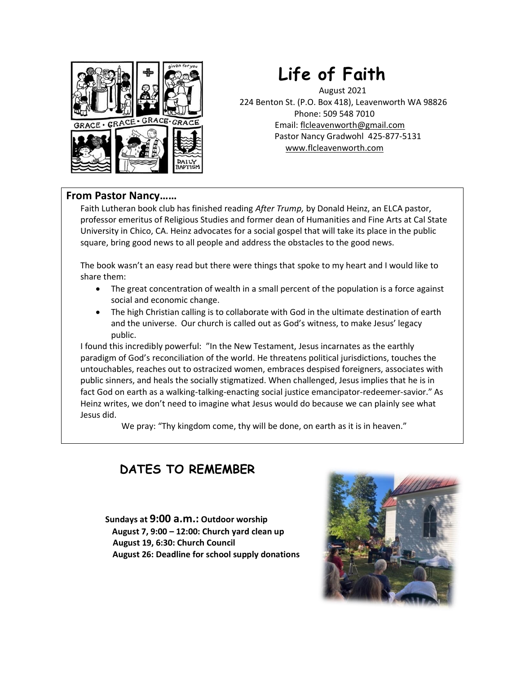

# **Life of Faith**

August 2021 224 Benton St. (P.O. Box 418), Leavenworth WA 98826 Phone: 509 548 7010 Email: flcleavenworth@gmail.com Pastor Nancy Gradwohl 425-877-5131 www.flcleavenworth.com

#### **From Pastor Nancy……**

Faith Lutheran book club has finished reading *After Trump,* by Donald Heinz, an ELCA pastor, professor emeritus of Religious Studies and former dean of Humanities and Fine Arts at Cal State University in Chico, CA. Heinz advocates for a social gospel that will take its place in the public square, bring good news to all people and address the obstacles to the good news.

The book wasn't an easy read but there were things that spoke to my heart and I would like to share them:

- The great concentration of wealth in a small percent of the population is a force against social and economic change.
- The high Christian calling is to collaborate with God in the ultimate destination of earth and the universe. Our church is called out as God's witness, to make Jesus' legacy public.

I found this incredibly powerful: "In the New Testament, Jesus incarnates as the earthly paradigm of God's reconciliation of the world. He threatens political jurisdictions, touches the untouchables, reaches out to ostracized women, embraces despised foreigners, associates with public sinners, and heals the socially stigmatized. When challenged, Jesus implies that he is in fact God on earth as a walking-talking-enacting social justice emancipator-redeemer-savior." As Heinz writes, we don't need to imagine what Jesus would do because we can plainly see what Jesus did.

We pray: "Thy kingdom come, thy will be done, on earth as it is in heaven."

## **DATES TO REMEMBER**

**Sundays at 9:00 a.m.: Outdoor worship August 7, 9:00 – 12:00: Church yard clean up August 19, 6:30: Church Council August 26: Deadline for school supply donations**

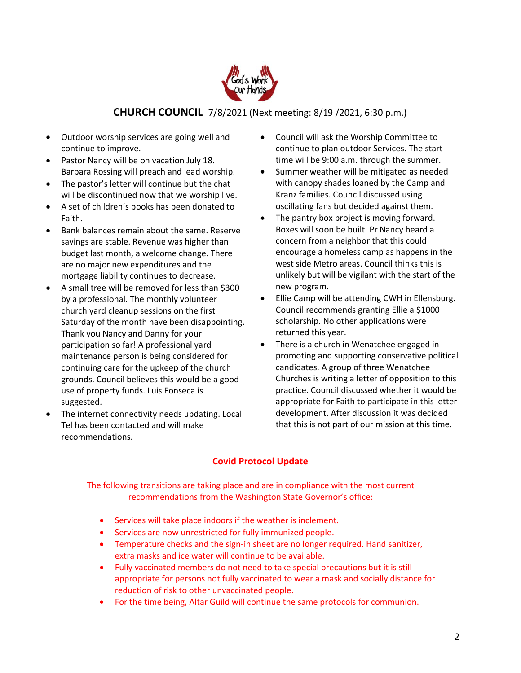

#### **CHURCH COUNCIL** 7/8/2021 (Next meeting: 8/19 /2021, 6:30 p.m.)

- Outdoor worship services are going well and continue to improve.
- Pastor Nancy will be on vacation July 18. Barbara Rossing will preach and lead worship.
- The pastor's letter will continue but the chat will be discontinued now that we worship live.
- A set of children's books has been donated to Faith.
- Bank balances remain about the same. Reserve savings are stable. Revenue was higher than budget last month, a welcome change. There are no major new expenditures and the mortgage liability continues to decrease.
- A small tree will be removed for less than \$300 by a professional. The monthly volunteer church yard cleanup sessions on the first Saturday of the month have been disappointing. Thank you Nancy and Danny for your participation so far! A professional yard maintenance person is being considered for continuing care for the upkeep of the church grounds. Council believes this would be a good use of property funds. Luis Fonseca is suggested.
- The internet connectivity needs updating. Local Tel has been contacted and will make recommendations.
- Council will ask the Worship Committee to continue to plan outdoor Services. The start time will be 9:00 a.m. through the summer.
- Summer weather will be mitigated as needed with canopy shades loaned by the Camp and Kranz families. Council discussed using oscillating fans but decided against them.
- The pantry box project is moving forward. Boxes will soon be built. Pr Nancy heard a concern from a neighbor that this could encourage a homeless camp as happens in the west side Metro areas. Council thinks this is unlikely but will be vigilant with the start of the new program.
- Ellie Camp will be attending CWH in Ellensburg. Council recommends granting Ellie a \$1000 scholarship. No other applications were returned this year.
- There is a church in Wenatchee engaged in promoting and supporting conservative political candidates. A group of three Wenatchee Churches is writing a letter of opposition to this practice. Council discussed whether it would be appropriate for Faith to participate in this letter development. After discussion it was decided that this is not part of our mission at this time.

#### **Covid Protocol Update**

The following transitions are taking place and are in compliance with the most current recommendations from the Washington State Governor's office:

- Services will take place indoors if the weather is inclement.
- Services are now unrestricted for fully immunized people.
- Temperature checks and the sign-in sheet are no longer required. Hand sanitizer, extra masks and ice water will continue to be available.
- Fully vaccinated members do not need to take special precautions but it is still appropriate for persons not fully vaccinated to wear a mask and socially distance for reduction of risk to other unvaccinated people.
- For the time being, Altar Guild will continue the same protocols for communion.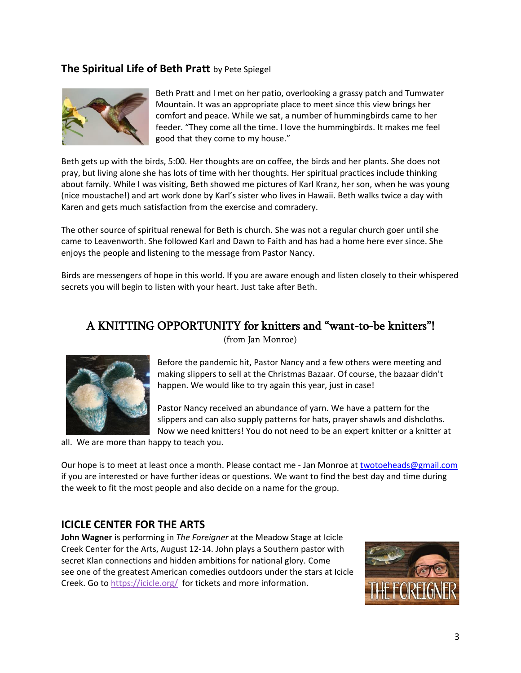#### **The Spiritual Life of Beth Pratt** by Pete Spiegel



Beth Pratt and I met on her patio, overlooking a grassy patch and Tumwater Mountain. It was an appropriate place to meet since this view brings her comfort and peace. While we sat, a number of hummingbirds came to her feeder. "They come all the time. I love the hummingbirds. It makes me feel good that they come to my house."

Beth gets up with the birds, 5:00. Her thoughts are on coffee, the birds and her plants. She does not pray, but living alone she has lots of time with her thoughts. Her spiritual practices include thinking about family. While I was visiting, Beth showed me pictures of Karl Kranz, her son, when he was young (nice moustache!) and art work done by Karl's sister who lives in Hawaii. Beth walks twice a day with Karen and gets much satisfaction from the exercise and comradery.

The other source of spiritual renewal for Beth is church. She was not a regular church goer until she came to Leavenworth. She followed Karl and Dawn to Faith and has had a home here ever since. She enjoys the people and listening to the message from Pastor Nancy.

Birds are messengers of hope in this world. If you are aware enough and listen closely to their whispered secrets you will begin to listen with your heart. Just take after Beth.

### A KNITTING OPPORTUNITY for knitters and "want-to-be knitters"!

(from Jan Monroe)



Before the pandemic hit, Pastor Nancy and a few others were meeting and making slippers to sell at the Christmas Bazaar. Of course, the bazaar didn't happen. We would like to try again this year, just in case!

Pastor Nancy received an abundance of yarn. We have a pattern for the slippers and can also supply patterns for hats, prayer shawls and dishcloths. Now we need knitters! You do not need to be an expert knitter or a knitter at

all. We are more than happy to teach you.

Our hope is to meet at least once a month. Please contact me - Jan Monroe at [twotoeheads@gmail.com](mailto:twotoeheads@gmail.com) if you are interested or have further ideas or questions. We want to find the best day and time during the week to fit the most people and also decide on a name for the group.

#### **ICICLE CENTER FOR THE ARTS**

**John Wagner** is performing in *The Foreigner* at the Meadow Stage at Icicle Creek Center for the Arts, August 12-14. John plays a Southern pastor with secret Klan connections and hidden ambitions for national glory. Come see one of the greatest American comedies outdoors under the stars at Icicle Creek. Go to <https://icicle.org/>for tickets and more information.

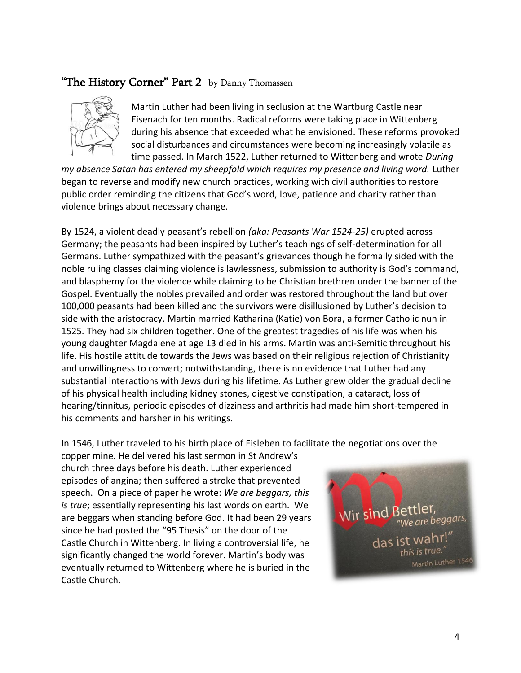### "The History Corner" Part 2 by Danny Thomassen



Martin Luther had been living in seclusion at the Wartburg Castle near Eisenach for ten months. Radical reforms were taking place in Wittenberg during his absence that exceeded what he envisioned. These reforms provoked social disturbances and circumstances were becoming increasingly volatile as time passed. In March 1522, Luther returned to Wittenberg and wrote *During* 

*my absence Satan has entered my sheepfold which requires my presence and living word.* Luther began to reverse and modify new church practices, working with civil authorities to restore public order reminding the citizens that God's word, love, patience and charity rather than violence brings about necessary change.

By 1524, a violent deadly peasant's rebellion *(aka: Peasants War 1524-25)* erupted across Germany; the peasants had been inspired by Luther's teachings of self-determination for all Germans. Luther sympathized with the peasant's grievances though he formally sided with the noble ruling classes claiming violence is lawlessness, submission to authority is God's command, and blasphemy for the violence while claiming to be Christian brethren under the banner of the Gospel. Eventually the nobles prevailed and order was restored throughout the land but over 100,000 peasants had been killed and the survivors were disillusioned by Luther's decision to side with the aristocracy. Martin married Katharina (Katie) von Bora, a former Catholic nun in 1525. They had six children together. One of the greatest tragedies of his life was when his young daughter Magdalene at age 13 died in his arms. Martin was anti-Semitic throughout his life. His hostile attitude towards the Jews was based on their religious rejection of Christianity and unwillingness to convert; notwithstanding, there is no evidence that Luther had any substantial interactions with Jews during his lifetime. As Luther grew older the gradual decline of his physical health including kidney stones, digestive constipation, a cataract, loss of hearing/tinnitus, periodic episodes of dizziness and arthritis had made him short-tempered in his comments and harsher in his writings.

In 1546, Luther traveled to his birth place of Eisleben to facilitate the negotiations over the

copper mine. He delivered his last sermon in St Andrew's church three days before his death. Luther experienced episodes of angina; then suffered a stroke that prevented speech. On a piece of paper he wrote: *We are beggars, this is true*; essentially representing his last words on earth. We are beggars when standing before God. It had been 29 years since he had posted the "95 Thesis" on the door of the Castle Church in Wittenberg. In living a controversial life, he significantly changed the world forever. Martin's body was eventually returned to Wittenberg where he is buried in the Castle Church.

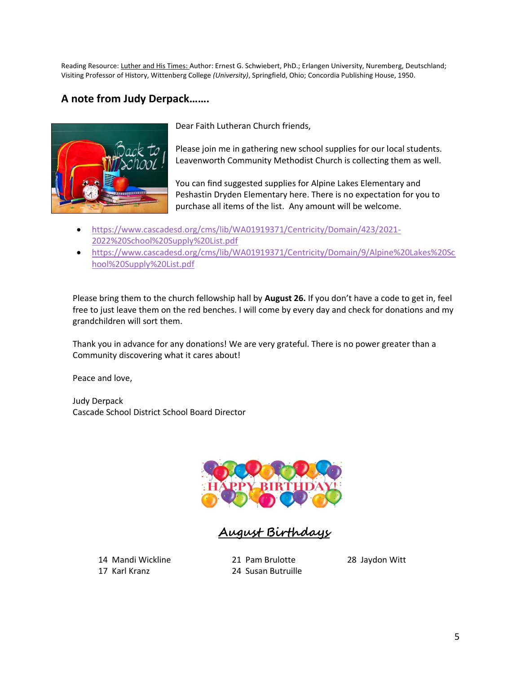Reading Resource: Luther and His Times: Author: Ernest G. Schwiebert, PhD.; Erlangen University, Nuremberg, Deutschland; Visiting Professor of History, Wittenberg College *(University)*, Springfield, Ohio; Concordia Publishing House, 1950.

#### **A note from Judy Derpack…….**



Dear Faith Lutheran Church friends,

Please join me in gathering new school supplies for our local students. Leavenworth Community Methodist Church is collecting them as well.

You can find suggested supplies for Alpine Lakes Elementary and Peshastin Dryden Elementary here. There is no expectation for you to purchase all items of the list. Any amount will be welcome.

- [https://www.cascadesd.org/cms/lib/WA01919371/Centricity/Domain/423/2021-](https://www.cascadesd.org/cms/lib/WA01919371/Centricity/Domain/423/2021-2022%20School%20Supply%20List.pdf) [2022%20School%20Supply%20List.pdf](https://www.cascadesd.org/cms/lib/WA01919371/Centricity/Domain/423/2021-2022%20School%20Supply%20List.pdf)
- [https://www.cascadesd.org/cms/lib/WA01919371/Centricity/Domain/9/Alpine%20Lakes%20Sc](https://www.cascadesd.org/cms/lib/WA01919371/Centricity/Domain/9/Alpine%20Lakes%20School%20Supply%20List.pdf) [hool%20Supply%20List.pdf](https://www.cascadesd.org/cms/lib/WA01919371/Centricity/Domain/9/Alpine%20Lakes%20School%20Supply%20List.pdf)

Please bring them to the church fellowship hall by **August 26.** If you don't have a code to get in, feel free to just leave them on the red benches. I will come by every day and check for donations and my grandchildren will sort them.

Thank you in advance for any donations! We are very grateful. There is no power greater than a Community discovering what it cares about!

Peace and love,

Judy Derpack Cascade School District School Board Director



**August Birthdays**

 14 Mandi Wickline 17 Karl Kranz

 21 Pam Brulotte 24 Susan Butruille 28 Jaydon Witt